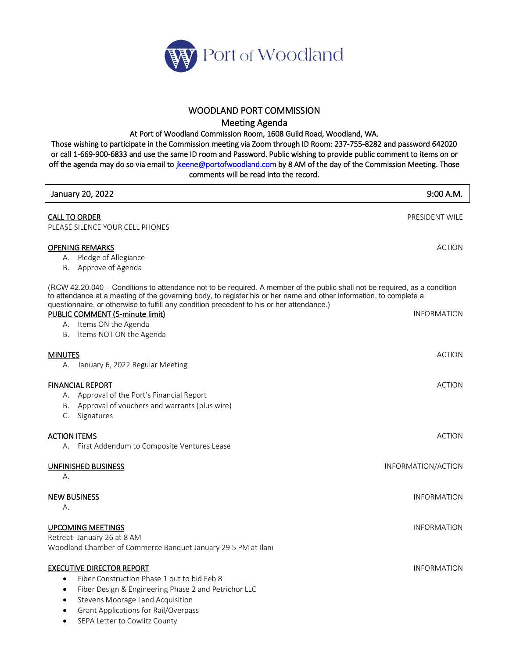

## WOODLAND PORT COMMISSION

Meeting Agenda

At Port of Woodland Commission Room, 1608 Guild Road, Woodland, WA.

Those wishing to participate in the Commission meeting via Zoom through ID Room: 237-755-8282 and password 642020 or call 1-669-900-6833 and use the same ID room and Password. Public wishing to provide public comment to items on or off the agenda may do so via email to *jkeene@portofwoodland.com* by 8 AM of the day of the Commission Meeting. Those comments will be read into the record.

| January 20, 2022                                                                                                                                                                                                                                                                                                                              | 9:00 A.M.          |
|-----------------------------------------------------------------------------------------------------------------------------------------------------------------------------------------------------------------------------------------------------------------------------------------------------------------------------------------------|--------------------|
| <b>CALL TO ORDER</b><br>PLEASE SILENCE YOUR CELL PHONES                                                                                                                                                                                                                                                                                       | PRESIDENT WILE     |
| <b>OPENING REMARKS</b><br>A. Pledge of Allegiance<br>B. Approve of Agenda                                                                                                                                                                                                                                                                     | <b>ACTION</b>      |
| (RCW 42.20.040 - Conditions to attendance not to be required. A member of the public shall not be required, as a condition<br>to attendance at a meeting of the governing body, to register his or her name and other information, to complete a<br>questionnaire, or otherwise to fulfill any condition precedent to his or her attendance.) |                    |
| PUBLIC COMMENT (5-minute limit)<br>A. Items ON the Agenda<br>B. Items NOT ON the Agenda                                                                                                                                                                                                                                                       | <b>INFORMATION</b> |
| <b>MINUTES</b><br>A. January 6, 2022 Regular Meeting                                                                                                                                                                                                                                                                                          | <b>ACTION</b>      |
| <b>FINANCIAL REPORT</b><br>A. Approval of the Port's Financial Report<br>B. Approval of vouchers and warrants (plus wire)<br>C. Signatures                                                                                                                                                                                                    | <b>ACTION</b>      |
| <b>ACTION ITEMS</b><br>A. First Addendum to Composite Ventures Lease                                                                                                                                                                                                                                                                          | <b>ACTION</b>      |
| UNFINISHED BUSINESS<br>А.                                                                                                                                                                                                                                                                                                                     | INFORMATION/ACTION |
| <b>NEW BUSINESS</b><br>А.                                                                                                                                                                                                                                                                                                                     | <b>INFORMATION</b> |
| <b>UPCOMING MEETINGS</b><br>Retreat- January 26 at 8 AM<br>Woodland Chamber of Commerce Banquet January 29 5 PM at Ilani                                                                                                                                                                                                                      | <b>INFORMATION</b> |
| <b>EXECUTIVE DIRECTOR REPORT</b><br>Fiber Construction Phase 1 out to bid Feb 8<br>$\bullet$<br>Fiber Design & Engineering Phase 2 and Petrichor LLC<br>$\bullet$<br>Stevens Moorage Land Acquisition<br>$\bullet$<br><b>Grant Applications for Rail/Overpass</b><br>$\bullet$                                                                | <b>INFORMATION</b> |

• SEPA Letter to Cowlitz County